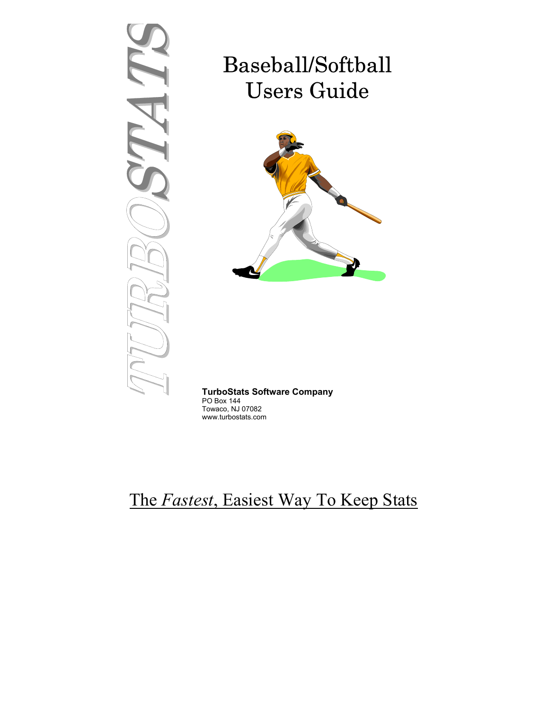# TURBOSTATS

# Baseball/Softball Users Guide



# **TurboStats Software Company**

PO Box 144 Towaco, NJ 07082 www.turbostats.com

# The *Fastest*, Easiest Way To Keep Stats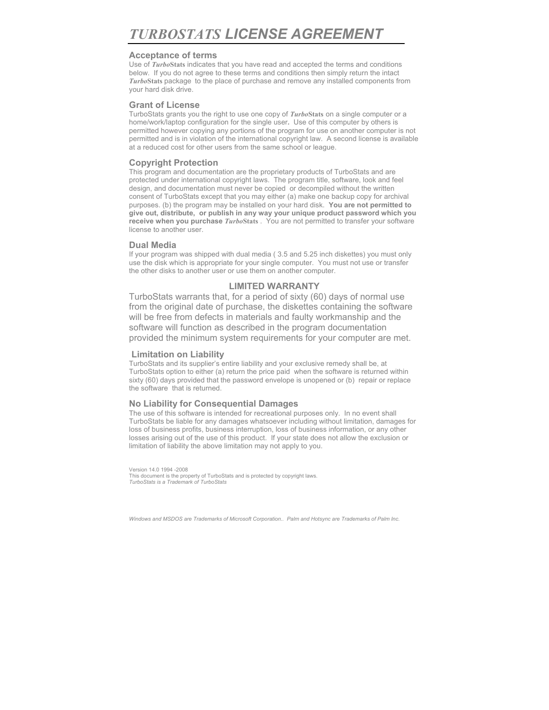#### **Acceptance of terms**

Use of *Turbo***Stats** indicates that you have read and accepted the terms and conditions below. If you do not agree to these terms and conditions then simply return the intact *Turbo***Stats** package to the place of purchase and remove any installed components from your hard disk drive.

#### **Grant of License**

TurboStats grants you the right to use one copy of *Turbo***Stats** on a single computer or a home/work/laptop configuration for the single user*.* Use of this computer by others is permitted however copying any portions of the program for use on another computer is not permitted and is in violation of the international copyright law. A second license is available at a reduced cost for other users from the same school or league.

## **Copyright Protection**

This program and documentation are the proprietary products of TurboStats and are protected under international copyright laws. The program title, software, look and feel design, and documentation must never be copied or decompiled without the written consent of TurboStats except that you may either (a) make one backup copy for archival purposes. (b) the program may be installed on your hard disk. **You are not permitted to give out, distribute, or publish in any way your unique product password which you receive when you purchase** *Turbo***Stats** . You are not permitted to transfer your software license to another user.

#### **Dual Media**

If your program was shipped with dual media ( 3.5 and 5.25 inch diskettes) you must only use the disk which is appropriate for your single computer. You must not use or transfer the other disks to another user or use them on another computer.

# **LIMITED WARRANTY**

TurboStats warrants that, for a period of sixty (60) days of normal use from the original date of purchase, the diskettes containing the software will be free from defects in materials and faulty workmanship and the software will function as described in the program documentation provided the minimum system requirements for your computer are met.

#### **Limitation on Liability**

TurboStats and its supplier's entire liability and your exclusive remedy shall be, at TurboStats option to either (a) return the price paid when the software is returned within sixty (60) days provided that the password envelope is unopened or (b) repair or replace the software that is returned.

#### **No Liability for Consequential Damages**

The use of this software is intended for recreational purposes only. In no event shall TurboStats be liable for any damages whatsoever including without limitation, damages for loss of business profits, business interruption, loss of business information, or any other losses arising out of the use of this product. If your state does not allow the exclusion or limitation of liability the above limitation may not apply to you.

Version 14.0 1994 -2008 This document is the property of TurboStats and is protected by copyright laws. *TurboStats is a Trademark of TurboStats*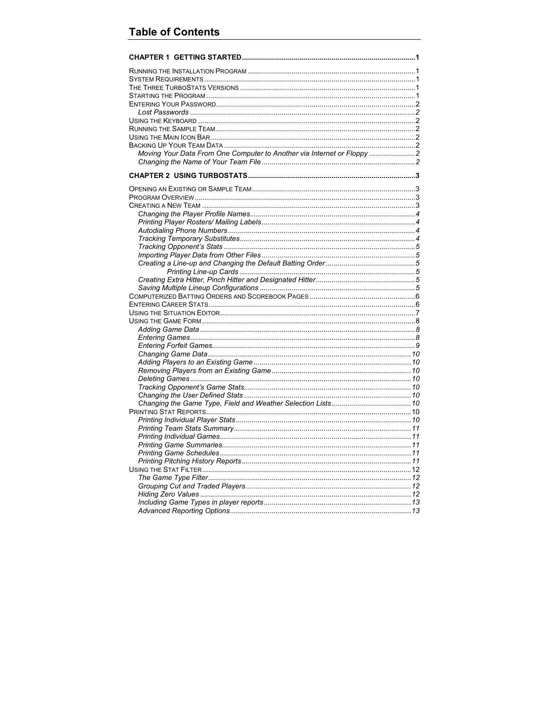| Moving Your Data From One Computer to Another via Internet or Floppy |  |
|----------------------------------------------------------------------|--|
|                                                                      |  |
|                                                                      |  |
|                                                                      |  |
|                                                                      |  |
|                                                                      |  |
|                                                                      |  |
|                                                                      |  |
|                                                                      |  |
|                                                                      |  |
|                                                                      |  |
|                                                                      |  |
|                                                                      |  |
|                                                                      |  |
|                                                                      |  |
|                                                                      |  |
|                                                                      |  |
|                                                                      |  |
|                                                                      |  |
|                                                                      |  |
|                                                                      |  |
|                                                                      |  |
|                                                                      |  |
|                                                                      |  |
|                                                                      |  |
|                                                                      |  |
|                                                                      |  |
|                                                                      |  |
|                                                                      |  |
|                                                                      |  |
|                                                                      |  |
|                                                                      |  |
|                                                                      |  |
|                                                                      |  |
|                                                                      |  |
|                                                                      |  |
|                                                                      |  |
|                                                                      |  |
|                                                                      |  |
|                                                                      |  |
|                                                                      |  |
|                                                                      |  |
|                                                                      |  |
|                                                                      |  |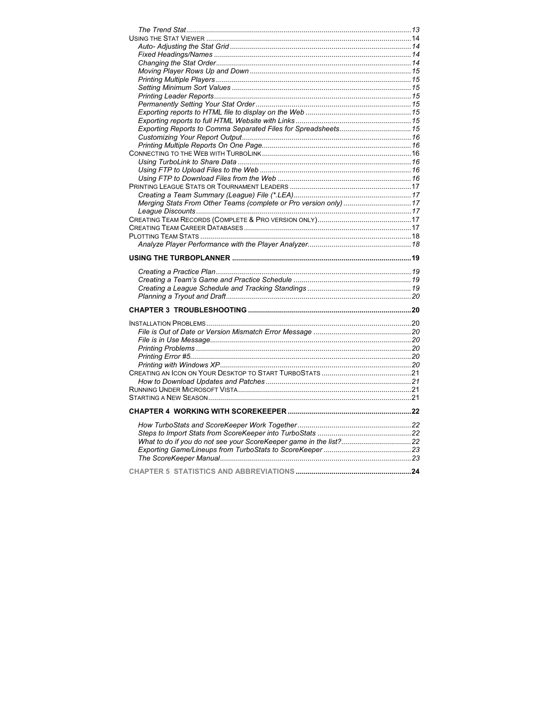| Merging Stats From Other Teams (complete or Pro version only)  17 |  |
|-------------------------------------------------------------------|--|
|                                                                   |  |
|                                                                   |  |
|                                                                   |  |
|                                                                   |  |
|                                                                   |  |
|                                                                   |  |
|                                                                   |  |
|                                                                   |  |
|                                                                   |  |
|                                                                   |  |
|                                                                   |  |
|                                                                   |  |
|                                                                   |  |
|                                                                   |  |
|                                                                   |  |
|                                                                   |  |
|                                                                   |  |
|                                                                   |  |
|                                                                   |  |
|                                                                   |  |
|                                                                   |  |
|                                                                   |  |
|                                                                   |  |
|                                                                   |  |
|                                                                   |  |
|                                                                   |  |
|                                                                   |  |
|                                                                   |  |
|                                                                   |  |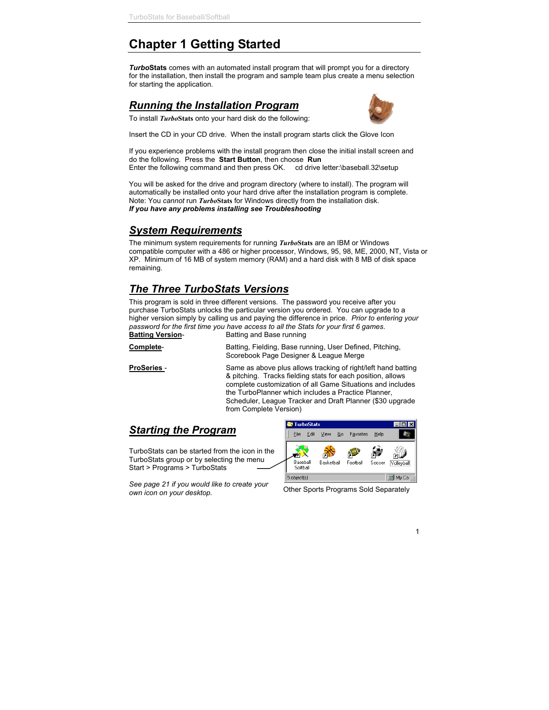# **Chapter 1 Getting Started**

*Turbo***Stats** comes with an automated install program that will prompt you for a directory for the installation, then install the program and sample team plus create a menu selection for starting the application.

# *Running the Installation Program*



To install *Turbo***Stats** onto your hard disk do the following:

Insert the CD in your CD drive. When the install program starts click the Glove Icon

If you experience problems with the install program then close the initial install screen and do the following. Press the **Start Button**, then choose **Run** Enter the following command and then press OK. cd drive letter:\baseball.32\setup

You will be asked for the drive and program directory (where to install). The program will automatically be installed onto your hard drive after the installation program is complete. Note: You *cannot* run *Turbo***Stats** for Windows directly from the installation disk. *If you have any problems installing see Troubleshooting*

# *System Requirements*

The minimum system requirements for running *Turbo***Stats** are an IBM or Windows compatible computer with a 486 or higher processor, Windows, 95, 98, ME, 2000, NT, Vista or XP. Minimum of 16 MB of system memory (RAM) and a hard disk with 8 MB of disk space remaining.

# *The Three TurboStats Versions*

This program is sold in three different versions. The password you receive after you purchase TurboStats unlocks the particular version you ordered. You can upgrade to a higher version simply by calling us and paying the difference in price. *Prior to entering your password for the first time you have access to all the Stats for your first 6 games*.

**Batting Version-** Batting and Base running

**Complete-** Batting, Fielding, Base running, User Defined, Pitching, Scorebook Page Designer & League Merge

**ProSeries -** Same as above plus allows tracking of right/left hand batting & pitching. Tracks fielding stats for each position, allows complete customization of all Game Situations and includes the TurboPlanner which includes a Practice Planner, Scheduler, League Tracker and Draft Planner (\$30 upgrade from Complete Version)

# *Starting the Program*

TurboStats can be started from the icon in the TurboStats group or by selecting the menu Start > Programs > TurboStats

*See page 21 if you would like to create your own icon on your desktop.* Other Sports Programs Sold Separately

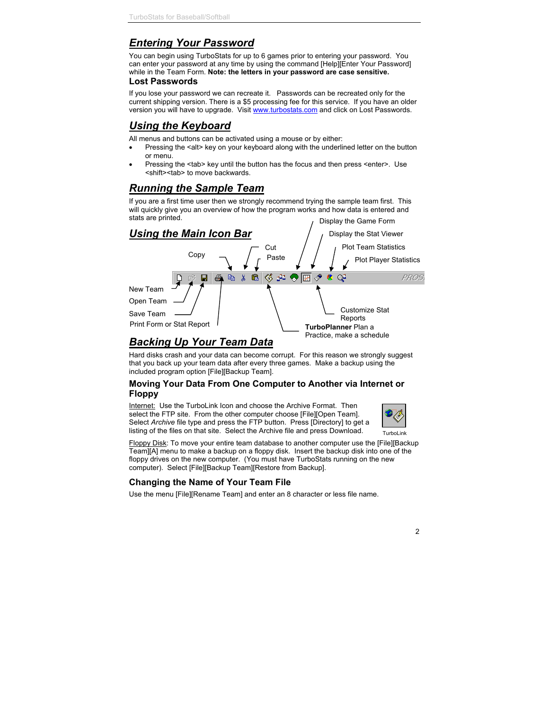# *Entering Your Password*

You can begin using TurboStats for up to 6 games prior to entering your password. You can enter your password at any time by using the command [Help][Enter Your Password] while in the Team Form. **Note: the letters in your password are case sensitive.**

#### **Lost Passwords**

If you lose your password we can recreate it. Passwords can be recreated only for the current shipping version. There is a \$5 processing fee for this service. If you have an older version you will have to upgrade. Visit www.turbostats.com and click on Lost Passwords.

# *Using the Keyboard*

All menus and buttons can be activated using a mouse or by either:

- Pressing the <alt> key on your keyboard along with the underlined letter on the button or menu.
- Pressing the <tab> key until the button has the focus and then press <enter>. Use <shift><tab> to move backwards.

# *Running the Sample Team*

If you are a first time user then we strongly recommend trying the sample team first. This will quickly give you an overview of how the program works and how data is entered and stats are printed. Display the Game Form



# *Backing Up Your Team Data*

Hard disks crash and your data can become corrupt. For this reason we strongly suggest that you back up your team data after every three games. Make a backup using the included program option [File][Backup Team].

#### **Moving Your Data From One Computer to Another via Internet or Floppy**

Internet: Use the TurboLink Icon and choose the Archive Format. Then select the FTP site. From the other computer choose [File][Open Team]. Select *Archive* file type and press the FTP button. Press [Directory] to get a listing of the files on that site. Select the Archive file and press Download.



Floppy Disk: To move your entire team database to another computer use the [File][Backup Team][A] menu to make a backup on a floppy disk. Insert the backup disk into one of the floppy drives on the new computer. (You must have TurboStats running on the new computer). Select [File][Backup Team][Restore from Backup].

# **Changing the Name of Your Team File**

Use the menu [File][Rename Team] and enter an 8 character or less file name.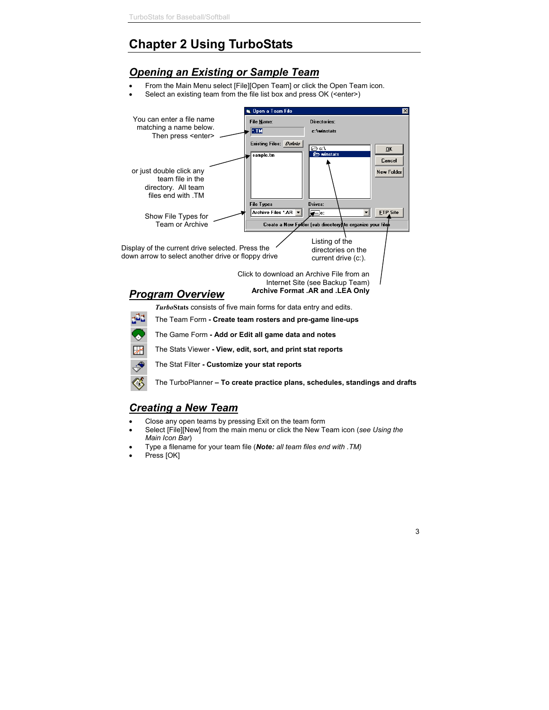# **Chapter 2 Using TurboStats**

# *Opening an Existing or Sample Team*

- From the Main Menu select [File][Open Team] or click the Open Team icon.
- Select an existing team from the file list box and press OK (<enter>)



The Stat Filter **- Customize your stat reports**

The TurboPlanner **– To create practice plans, schedules, standings and drafts**

# *Creating a New Team*

- Close any open teams by pressing Exit on the team form
- Select [File][New] from the main menu or click the New Team icon (*see Using the Main Icon Bar*)
- Type a filename for your team file (*Note: all team files end with .TM)*
- Press [OK]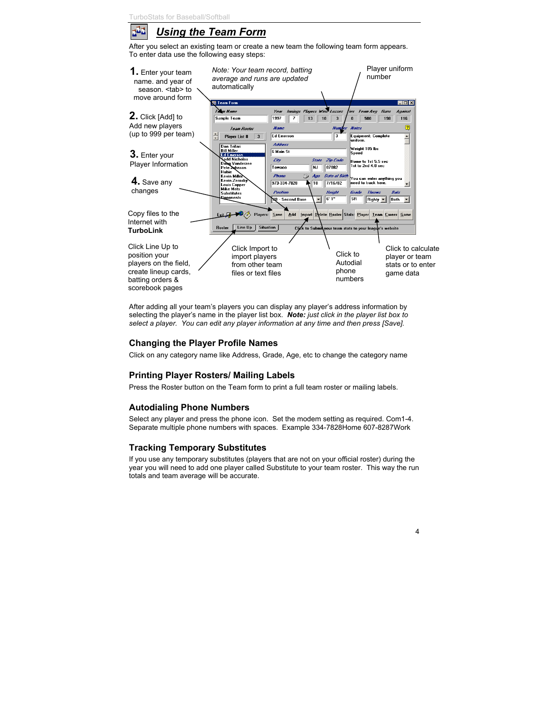

# *Using the Team Form*

After you select an existing team or create a new team the following team form appears. To enter data use the following easy steps:



After adding all your team's players you can display any player's address information by selecting the player's name in the player list box. *Note: just click in the player list box to select a player. You can edit any player information at any time and then press [Save].*

# **Changing the Player Profile Names**

Click on any category name like Address, Grade, Age, etc to change the category name

# **Printing Player Rosters/ Mailing Labels**

Press the Roster button on the Team form to print a full team roster or mailing labels.

# **Autodialing Phone Numbers**

Select any player and press the phone icon. Set the modem setting as required. Com1-4. Separate multiple phone numbers with spaces. Example 334-7828Home 607-8287Work

# **Tracking Temporary Substitutes**

If you use any temporary substitutes (players that are not on your official roster) during the year you will need to add one player called Substitute to your team roster. This way the run totals and team average will be accurate.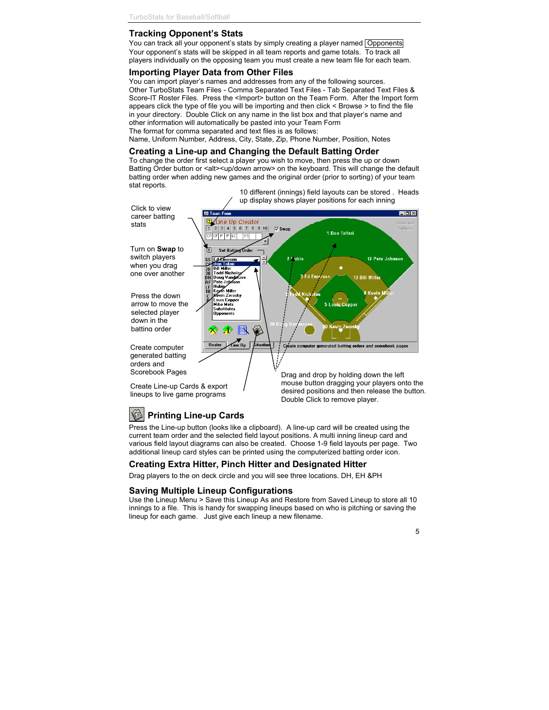# **Tracking Opponent's Stats**

You can track all your opponent's stats by simply creating a player named Opponents Your opponent's stats will be skipped in all team reports and game totals. To track all players individually on the opposing team you must create a new team file for each team.

# **Importing Player Data from Other Files**

You can import player's names and addresses from any of the following sources. Other TurboStats Team Files - Comma Separated Text Files - Tab Separated Text Files & Score-IT Roster Files. Press the <Import> button on the Team Form. After the Import form appears click the type of file you will be importing and then click < Browse > to find the file in your directory. Double Click on any name in the list box and that player's name and other information will automatically be pasted into your Team Form

The format for comma separated and text files is as follows:

Name, Uniform Number, Address, City, State, Zip, Phone Number, Position, Notes

#### **Creating a Line-up and Changing the Default Batting Order**

To change the order first select a player you wish to move, then press the up or down Batting Order button or <alt><up/down arrow> on the keyboard. This will change the default batting order when adding new games and the original order (prior to sorting) of your team stat reports.



# **Printing Line-up Cards**

Press the Line-up button (looks like a clipboard). A line-up card will be created using the current team order and the selected field layout positions. A multi inning lineup card and various field layout diagrams can also be created. Choose 1-9 field layouts per page. Two additional lineup card styles can be printed using the computerized batting order icon.

# **Creating Extra Hitter, Pinch Hitter and Designated Hitter**

Drag players to the on deck circle and you will see three locations. DH, EH &PH

#### **Saving Multiple Lineup Configurations**

Use the Lineup Menu > Save this Lineup As and Restore from Saved Lineup to store all 10 innings to a file. This is handy for swapping lineups based on who is pitching or saving the lineup for each game. Just give each lineup a new filename.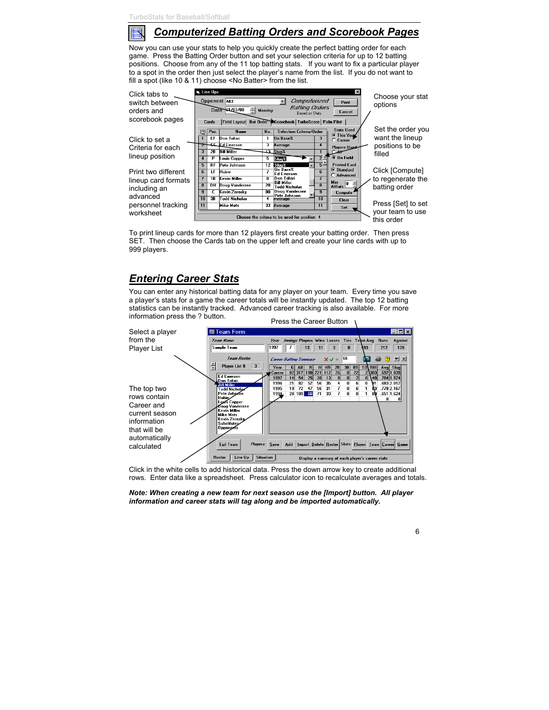

# *Computerized Batting Orders and Scorebook Pages*

Now you can use your stats to help you quickly create the perfect batting order for each game. Press the Batting Order button and set your selection criteria for up to 12 batting positions. Choose from any of the 11 top batting stats. If you want to fix a particular player to a spot in the order then just select the player's name from the list. If you do not want to fill a spot (like 10 & 11) choose <No Batter> from the list.



To print lineup cards for more than 12 players first create your batting order. Then press SET. Then choose the Cards tab on the upper left and create your line cards with up to 999 players.

# *Entering Career Stats*

You can enter any historical batting data for any player on your team. Every time you save a player's stats for a game the career totals will be instantly updated. The top 12 batting statistics can be instantly tracked. Advanced career tracking is also available. For more information press the ? button. Press the Career Button



Click in the white cells to add historical data. Press the down arrow key to create additional rows. Enter data like a spreadsheet. Press calculator icon to recalculate averages and totals.

#### *Note: When creating a new team for next season use the [Import] button. All player information and career stats will tag along and be imported automatically.*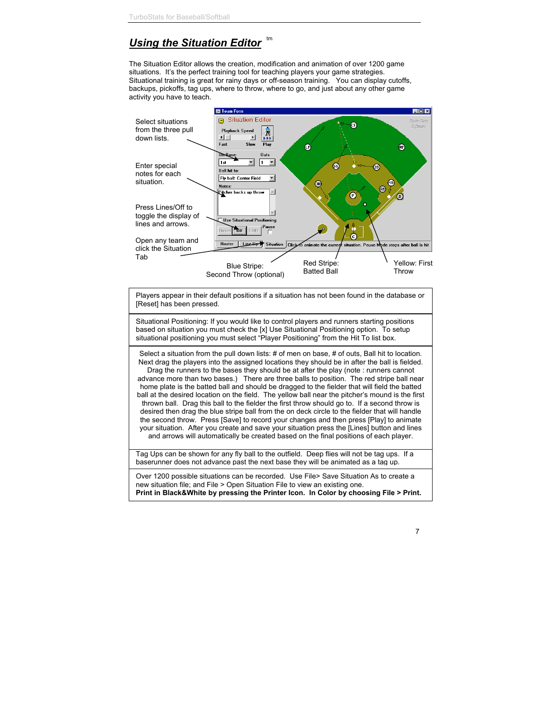#### *Using the Situation Editor* tm

The Situation Editor allows the creation, modification and animation of over 1200 game situations. It's the perfect training tool for teaching players your game strategies. Situational training is great for rainy days or off-season training. You can display cutoffs, backups, pickoffs, tag ups, where to throw, where to go, and just about any other game activity you have to teach.



Players appear in their default positions if a situation has not been found in the database or [Reset] has been pressed.

Situational Positioning: If you would like to control players and runners starting positions based on situation you must check the [x] Use Situational Positioning option. To setup situational positioning you must select "Player Positioning" from the Hit To list box.

Select a situation from the pull down lists: # of men on base, # of outs, Ball hit to location. Next drag the players into the assigned locations they should be in after the ball is fielded. Drag the runners to the bases they should be at after the play (note : runners cannot advance more than two bases.) There are three balls to position. The red stripe ball near home plate is the batted ball and should be dragged to the fielder that will field the batted ball at the desired location on the field. The yellow ball near the pitcher's mound is the first thrown ball. Drag this ball to the fielder the first throw should go to. If a second throw is desired then drag the blue stripe ball from the on deck circle to the fielder that will handle the second throw. Press [Save] to record your changes and then press [Play] to animate your situation. After you create and save your situation press the [Lines] button and lines and arrows will automatically be created based on the final positions of each player.

Tag Ups can be shown for any fly ball to the outfield. Deep flies will not be tag ups. If a baserunner does not advance past the next base they will be animated as a tag up.

Over 1200 possible situations can be recorded. Use File> Save Situation As to create a new situation file; and File > Open Situation File to view an existing one. **Print in Black&White by pressing the Printer Icon. In Color by choosing File > Print.**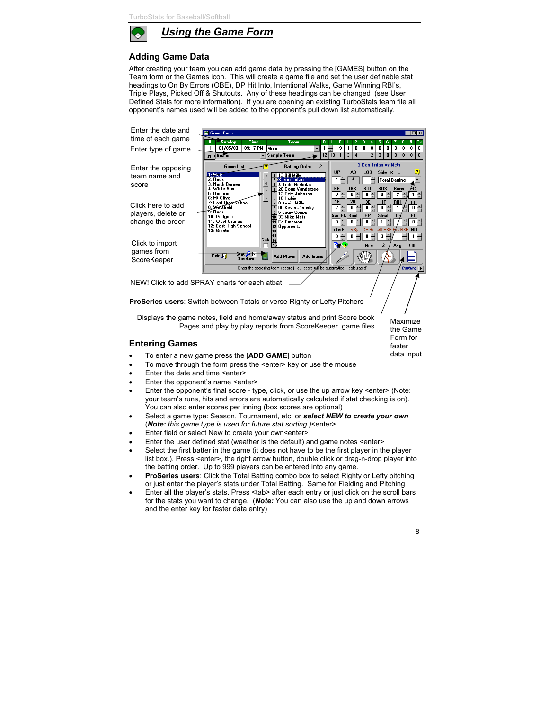

*Using the Game Form*

# **Adding Game Data**

After creating your team you can add game data by pressing the [GAMES] button on the Team form or the Games icon. This will create a game file and set the user definable stat headings to On By Errors (OBE), DP Hit Into, Intentional Walks, Game Winning RBI's, Triple Plays, Picked Off & Shutouts. Any of these headings can be changed (see User Defined Stats for more information). If you are opening an existing TurboStats team file all opponent's names used will be added to the opponent's pull down list automatically.



- To move through the form press the <enter> key or use the mouse
- Enter the date and time <enter>
- Enter the opponent's name <enter>
- Enter the opponent's final score type, click, or use the up arrow key <enter> (Note: your team's runs, hits and errors are automatically calculated if stat checking is on). You can also enter scores per inning (box scores are optional)
- Select a game type: Season, Tournament, etc. or *select NEW to create your own* (*Note: this game type is used for future stat sorting*.*)*<enter>
- Enter field or select New to create your own<enter>
- Enter the user defined stat (weather is the default) and game notes <enter>
- Select the first batter in the game (it does not have to be the first player in the player list box.). Press <enter>, the right arrow button, double click or drag-n-drop player into the batting order. Up to 999 players can be entered into any game.
- **ProSeries users**: Click the Total Batting combo box to select Righty or Lefty pitching or just enter the player's stats under Total Batting. Same for Fielding and Pitching
- Enter all the player's stats. Press <tab> after each entry or just click on the scroll bars for the stats you want to change. (*Note:* You can also use the up and down arrows and the enter key for faster data entry)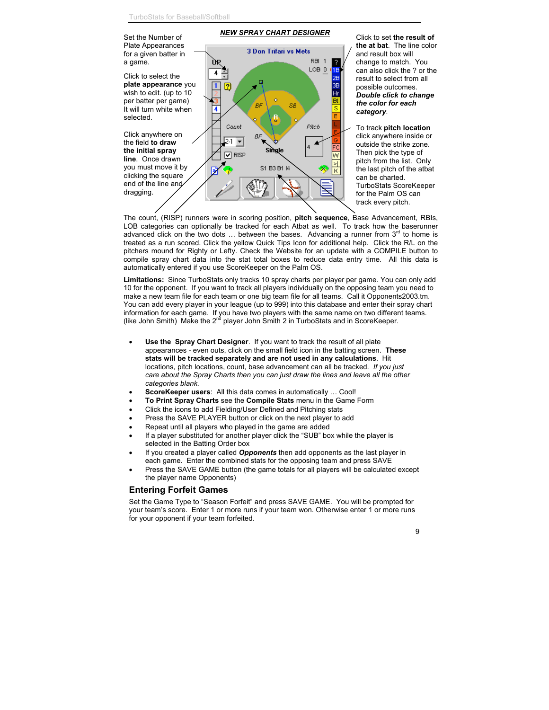**NEW SPRAY CHART DESIGNER**<br>Set the Number of Click to set **the result of** Plate Appearances **the at bat**. The line color **3 Don Trifari vs Mets** for a given batter in and result box will RBI 1 a game. change to match. You IJЬ ? LOB<sub>0</sub> 1B can also click the ? or the 4 Click to select the 28 result to select from all **plate appearance** you 3R  $\sqrt{2}$ possible outcomes. wish to edit. (up to 10  $\overline{H}$ r *Double click to change* per batter per game) ò *the color for each* .<br>RF SB  $\overline{\mathsf{s}}$ It will turn white when 4 *category*. F selected. B Pitch Count To track **pitch location** Click anywhere on BF click anywhere inside or  $2.1$ the field **to draw** outside the strike zone. ₹ Single **the initial spray** Then pick the type of  $\nabla$  risp Ŵ **line**. Once drawn pitch from the list. Only ۶Ì you must move it by S1 B3 B1 I4 the last pitch of the atbat ĸ clicking the square can be charted. end of the line and TurboStats ScoreKeeper dragging. for the Palm OS can track every pitch.

The count, (RISP) runners were in scoring position, **pitch sequence**, Base Advancement, RBIs, LOB categories can optionally be tracked for each Atbat as well. To track how the baserunner advanced click on the two dots  $\dots$  between the bases. Advancing a runner from  $3<sup>rd</sup>$  to home is treated as a run scored. Click the yellow Quick Tips Icon for additional help. Click the R/L on the pitchers mound for Righty or Lefty. Check the Website for an update with a COMPILE button to compile spray chart data into the stat total boxes to reduce data entry time. All this data is automatically entered if you use ScoreKeeper on the Palm OS.

**Limitations:** Since TurboStats only tracks 10 spray charts per player per game. You can only add 10 for the opponent. If you want to track all players individually on the opposing team you need to make a new team file for each team or one big team file for all teams. Call it Opponents2003.tm. You can add every player in your league (up to 999) into this database and enter their spray chart information for each game. If you have two players with the same name on two different teams. (like John Smith) Make the  $2<sup>ná</sup>$  player John Smith 2 in TurboStats and in ScoreKeeper.

- **Use the Spray Chart Designer**. If you want to track the result of all plate appearances - even outs, click on the small field icon in the batting screen. **These stats will be tracked separately and are not used in any calculations**. Hit locations, pitch locations, count, base advancement can all be tracked*. If you just care about the Spray Charts then you can just draw the lines and leave all the other categories blank.*
- **ScoreKeeper users**: All this data comes in automatically … Cool!
- **To Print Spray Charts** see the **Compile Stats** menu in the Game Form
- Click the icons to add Fielding/User Defined and Pitching stats
- Press the SAVE PLAYER button or click on the next player to add
- Repeat until all players who played in the game are added
- If a player substituted for another player click the "SUB" box while the player is selected in the Batting Order box
- If you created a player called *Opponents* then add opponents as the last player in each game. Enter the combined stats for the opposing team and press SAVE
- Press the SAVE GAME button (the game totals for all players will be calculated except the player name Opponents)

#### **Entering Forfeit Games**

Set the Game Type to "Season Forfeit" and press SAVE GAME. You will be prompted for your team's score. Enter 1 or more runs if your team won. Otherwise enter 1 or more runs for your opponent if your team forfeited.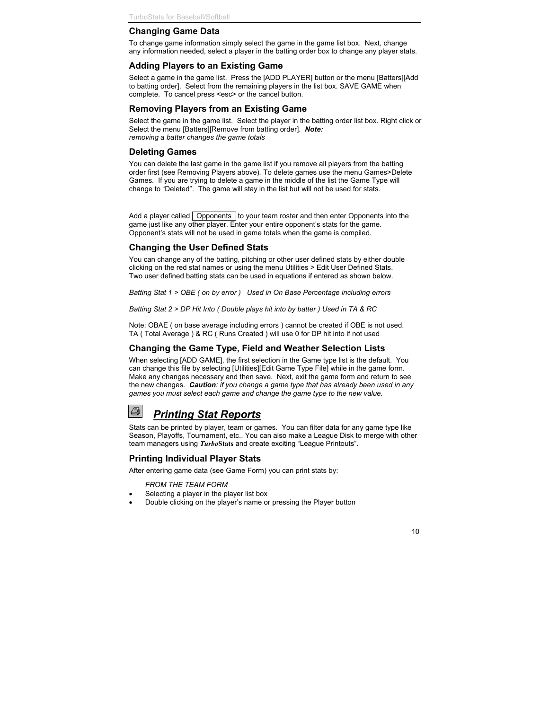## **Changing Game Data**

To change game information simply select the game in the game list box. Next, change any information needed, select a player in the batting order box to change any player stats.

#### **Adding Players to an Existing Game**

Select a game in the game list. Press the [ADD PLAYER] button or the menu [Batters][Add to batting order]. Select from the remaining players in the list box. SAVE GAME when complete. To cancel press <esc> or the cancel button.

## **Removing Players from an Existing Game**

Select the game in the game list. Select the player in the batting order list box. Right click or Select the menu [Batters][Remove from batting order]. *Note: removing a batter changes the game totals*

## **Deleting Games**

You can delete the last game in the game list if you remove all players from the batting order first (see Removing Players above)*.* To delete games use the menu Games>Delete Games*.* If you are trying to delete a game in the middle of the list the Game Type will change to "Deleted". The game will stay in the list but will not be used for stats.

Add a player called  $\sqrt{\phantom{a}}$  Opponents to your team roster and then enter Opponents into the game just like any other player. Enter your entire opponent's stats for the game. Opponent's stats will not be used in game totals when the game is compiled.

## **Changing the User Defined Stats**

You can change any of the batting, pitching or other user defined stats by either double clicking on the red stat names or using the menu Utilities > Edit User Defined Stats. Two user defined batting stats can be used in equations if entered as shown below.

*Batting Stat 1 > OBE ( on by error ) Used in On Base Percentage including errors*

*Batting Stat 2 > DP Hit Into ( Double plays hit into by batter ) Used in TA & RC*

Note: OBAE ( on base average including errors ) cannot be created if OBE is not used. TA ( Total Average ) & RC ( Runs Created ) will use 0 for DP hit into if not used

# **Changing the Game Type, Field and Weather Selection Lists**

When selecting [ADD GAME], the first selection in the Game type list is the default. You can change this file by selecting [Utilities][Edit Game Type File] while in the game form. Make any changes necessary and then save. Next, exit the game form and return to see the new changes. *Caution: if you change a game type that has already been used in any games you must select each game and change the game type to the new value.*

# *Printing Stat Reports*

Stats can be printed by player, team or games. You can filter data for any game type like Season, Playoffs, Tournament, etc.. You can also make a League Disk to merge with other team managers using *Turbo***Stats** and create exciting "League Printouts".

# **Printing Individual Player Stats**

After entering game data (see Game Form) you can print stats by:

#### *FROM THE TEAM FORM*

B

- Selecting a player in the player list box
- Double clicking on the player's name or pressing the Player button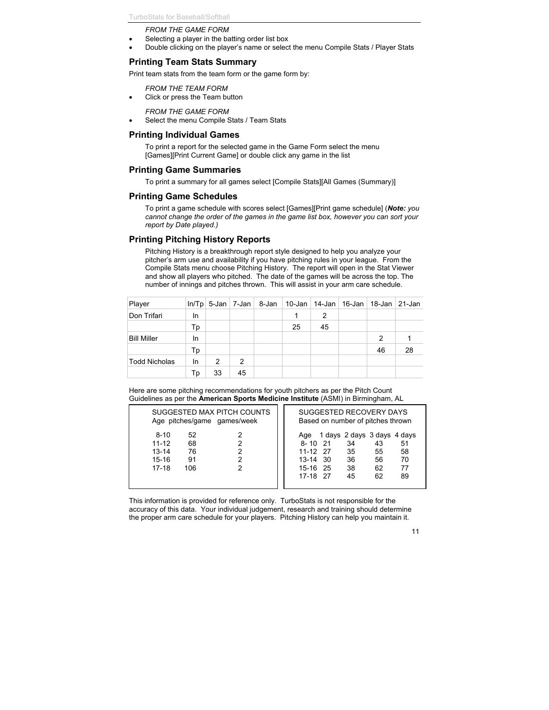#### *FROM THE GAME FORM*

- Selecting a player in the batting order list box
- Double clicking on the player's name or select the menu Compile Stats / Player Stats

## **Printing Team Stats Summary**

Print team stats from the team form or the game form by:

#### *FROM THE TEAM FORM*

Click or press the Team button

*FROM THE GAME FORM*

Select the menu Compile Stats / Team Stats

#### **Printing Individual Games**

To print a report for the selected game in the Game Form select the menu [Games][Print Current Game] or double click any game in the list

#### **Printing Game Summaries**

To print a summary for all games select [Compile Stats][All Games (Summary)]

#### **Printing Game Schedules**

To print a game schedule with scores select [Games][Print game schedule] (*Note: you cannot change the order of the games in the game list box, however you can sort your report by Date played.)*

## **Printing Pitching History Reports**

Pitching History is a breakthrough report style designed to help you analyze your pitcher's arm use and availability if you have pitching rules in your league. From the Compile Stats menu choose Pitching History. The report will open in the Stat Viewer and show all players who pitched. The date of the games will be across the top. The number of innings and pitches thrown. This will assist in your arm care schedule.

| Player             |    |    |    | $ln/Tp$ 5-Jan $ 7$ -Jan $ 8$ -Jan |    |    | 10-Jan   14-Jan   16-Jan   18-Jan   21-Jan |    |    |
|--------------------|----|----|----|-----------------------------------|----|----|--------------------------------------------|----|----|
| Don Trifari        | In |    |    |                                   |    | 2  |                                            |    |    |
|                    | Тp |    |    |                                   | 25 | 45 |                                            |    |    |
| <b>Bill Miller</b> | In |    |    |                                   |    |    |                                            | 2  |    |
|                    | Тp |    |    |                                   |    |    |                                            | 46 | 28 |
| Todd Nicholas      | In | 2  | 2  |                                   |    |    |                                            |    |    |
|                    | Тp | 33 | 45 |                                   |    |    |                                            |    |    |

Here are some pitching recommendations for youth pitchers as per the Pitch Count Guidelines as per the **American Sports Medicine Institute** (ASMI) in Birmingham, AL

| SUGGESTED MAX PITCH COUNTS                                                                  | SUGGESTED RECOVERY DAYS                                                                                                                                                                     |  |  |  |  |
|---------------------------------------------------------------------------------------------|---------------------------------------------------------------------------------------------------------------------------------------------------------------------------------------------|--|--|--|--|
| Age pitches/game games/week                                                                 | Based on number of pitches thrown                                                                                                                                                           |  |  |  |  |
| $8 - 10$<br>52<br>$11 - 12$<br>68<br>$13 - 14$<br>76<br>$15 - 16$<br>91<br>$17 - 18$<br>106 | 1 days 2 days 3 days 4 days<br>Aqe<br>$8 - 10$ 21<br>34<br>51<br>43<br>58<br>11-12 27<br>35<br>55<br>70<br>36<br>13-14 30<br>56<br>77<br>38<br>15-16 25<br>62<br>17-18 27<br>62<br>89<br>45 |  |  |  |  |

This information is provided for reference only. TurboStats is not responsible for the accuracy of this data. Your individual judgement, research and training should determine the proper arm care schedule for your players. Pitching History can help you maintain it.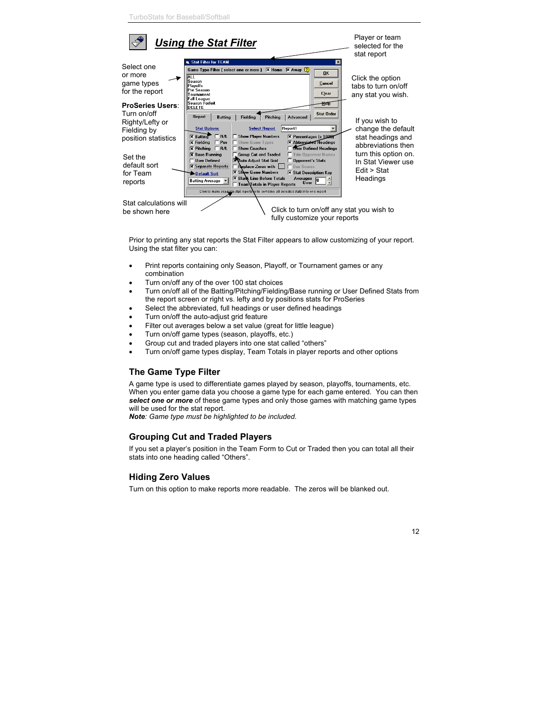

Prior to printing any stat reports the Stat Filter appears to allow customizing of your report. Using the stat filter you can:

- Print reports containing only Season, Playoff, or Tournament games or any combination
- Turn on/off any of the over 100 stat choices
- Turn on/off all of the Batting/Pitching/Fielding/Base running or User Defined Stats from the report screen or right vs. lefty and by positions stats for ProSeries
- Select the abbreviated, full headings or user defined headings
- Turn on/off the auto-adjust grid feature
- Filter out averages below a set value (great for little league)
- Turn on/off game types (season, playoffs, etc.)
- Group cut and traded players into one stat called "others"
- Turn on/off game types display, Team Totals in player reports and other options

# **The Game Type Filter**

A game type is used to differentiate games played by season, playoffs, tournaments, etc. When you enter game data you choose a game type for each game entered. You can then *select one or more* of these game types and only those games with matching game types will be used for the stat report.

*Note: Game type must be highlighted to be included.*

# **Grouping Cut and Traded Players**

If you set a player's position in the Team Form to Cut or Traded then you can total all their stats into one heading called "Others".

# **Hiding Zero Values**

Turn on this option to make reports more readable. The zeros will be blanked out.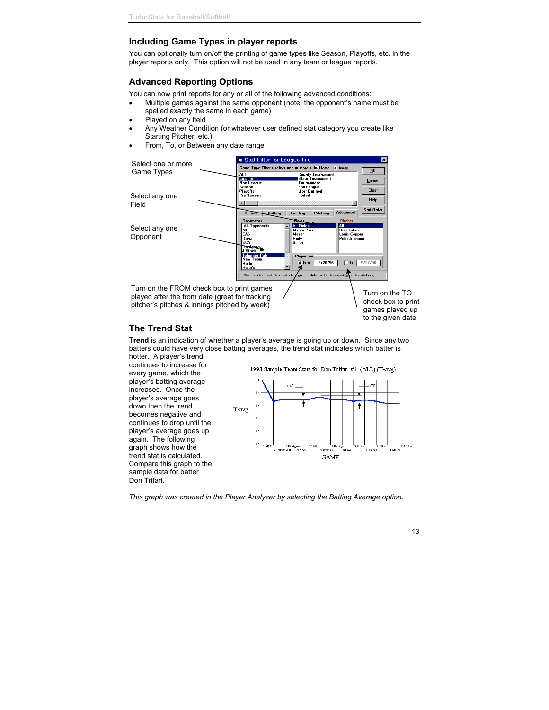# **Including Game Types in player reports**

You can optionally turn on/off the printing of game types like Season, Playoffs, etc. in the player reports only. This option will not be used in any team or league reports.

# **Advanced Reporting Options**

You can now print reports for any or all of the following advanced conditions:

- Multiple games against the same opponent (note: the opponent's name must be spelled exactly the same in each game)
- Played on any field
- Any Weather Condition (or whatever user defined stat category you create like Starting Pitcher, etc.)
- From, To, or Between any date range



#### Turn on the TO check box to print games played up to the given date

# **The Trend Stat**

**Trend** is an indication of whether a player's average is going up or down. Since any two batters could have very close batting averages, the trend stat indicates which batter is

hotter. A player's trend continues to increase for every game, which the player's batting average increases. Once the player's average goes down then the trend becomes negative and continues to drop until the player's average goes up again. The following graph shows how the trend stat is calculated. Compare this graph to the sample data for batter Don Trifari.



*This graph was created in the Player Analyzer by selecting the Batting Average option.*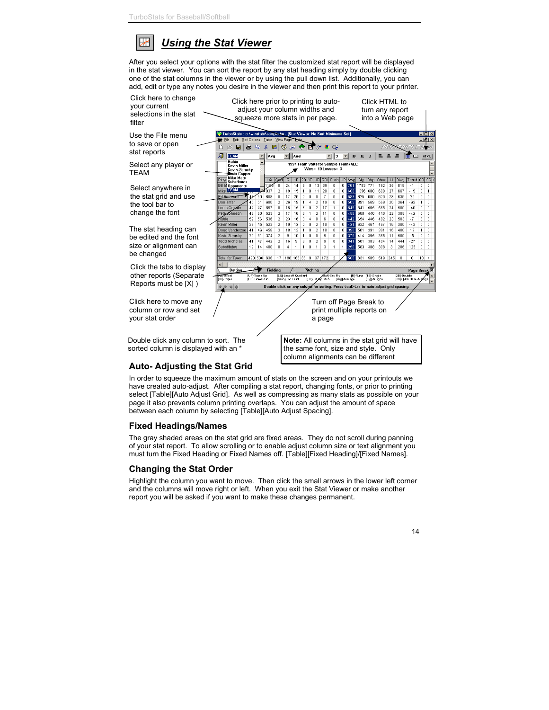#### ₩ *Using the Stat Viewer*

After you select your options with the stat filter the customized stat report will be displayed in the stat viewer. You can sort the report by any stat heading simply by double clicking one of the stat columns in the viewer or by using the pull down list. Additionally, you can add, edit or type any notes you desire in the viewer and then print this report to your printer.



# **Auto- Adjusting the Stat Grid**

In order to squeeze the maximum amount of stats on the screen and on your printouts we have created auto-adjust. After compiling a stat report, changing fonts, or prior to printing select [Table][Auto Adjust Grid]. As well as compressing as many stats as possible on your page it also prevents column printing overlaps. You can adjust the amount of space between each column by selecting [Table][Auto Adjust Spacing].

# **Fixed Headings/Names**

The gray shaded areas on the stat grid are fixed areas. They do not scroll during panning of your stat report. To allow scrolling or to enable adjust column size or text alignment you must turn the Fixed Heading or Fixed Names off. [Table][Fixed Heading]/[Fixed Names].

# **Changing the Stat Order**

Highlight the column you want to move. Then click the small arrows in the lower left corner and the columns will move right or left. When you exit the Stat Viewer or make another report you will be asked if you want to make these changes permanent.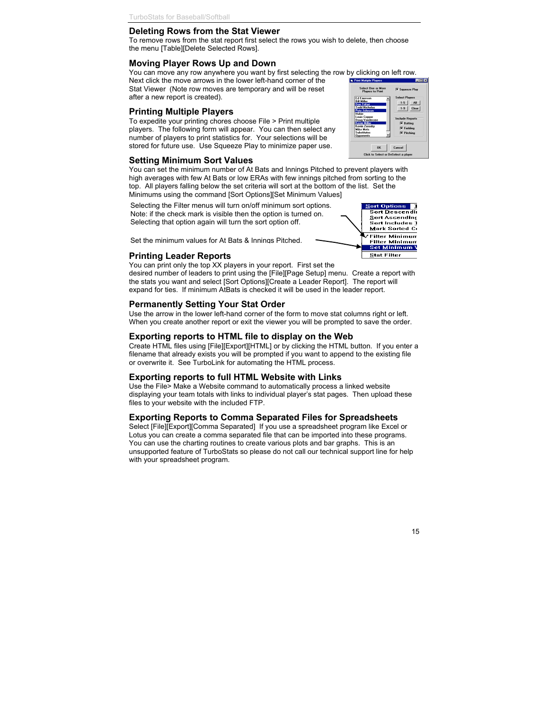# **Deleting Rows from the Stat Viewer**

To remove rows from the stat report first select the rows you wish to delete, then choose the menu [Table][Delete Selected Rows].

# **Moving Player Rows Up and Down**

You can move any row anywhere you want by first selecting the row by clicking on left row. **N. Print Mutiple Play** 

Next click the move arrows in the lower left-hand corner of the Stat Viewer (Note row moves are temporary and will be reset after a new report is created).

## **Printing Multiple Players**

To expedite your printing chores choose File > Print multiple players. The following form will appear. You can then select any number of players to print statistics for. Your selections will be stored for future use. Use Squeeze Play to minimize paper use.

# **Setting Minimum Sort Values**

You can set the minimum number of At Bats and Innings Pitched to prevent players with high averages with few At Bats or low ERAs with few innings pitched from sorting to the top. All players falling below the set criteria will sort at the bottom of the list. Set the Minimums using the command [Sort Options][Set Minimum Values]

Selecting the Filter menus will turn on/off minimum sort options. Note: if the check mark is visible then the option is turned on. Selecting that option again will turn the sort option off.

desired number of leaders to print using the [File][Page Setup] menu. Create a report with

# **Permanently Setting Your Stat Order**

Use the arrow in the lower left-hand corner of the form to move stat columns right or left. When you create another report or exit the viewer you will be prompted to save the order.

# **Exporting reports to HTML file to display on the Web**

Create HTML files using [File][Export][HTML] or by clicking the HTML button. If you enter a filename that already exists you will be prompted if you want to append to the existing file or overwrite it. See TurboLink for automating the HTML process.

# **Exporting reports to full HTML Website with Links**

Use the File> Make a Website command to automatically process a linked website displaying your team totals with links to individual player's stat pages. Then upload these files to your website with the included FTP.

# **Exporting Reports to Comma Separated Files for Spreadsheets**

Select [File][Export][Comma Separated] If you use a spreadsheet program like Excel or Lotus you can create a comma separated file that can be imported into these programs. You can use the charting routines to create various plots and bar graphs. This is an unsupported feature of TurboStats so please do not call our technical support line for help with your spreadsheet program.

Set the minimum values for At Bats & Innings Pitched.**Stat Filter Printing Leader Reports** You can print only the top XX players in your report. First set the the stats you want and select [Sort Options][Create a Leader Report]. The report will expand for ties. If minimum AtBats is checked it will be used in the leader report.

# $1-5$   $\Box$  All  $1-9$  Clear abada D  $\overline{\mathbf{x}}$  Batting  $\overline{\mathbf{x}}$  Fielding **X** Pitchin  $0K$ Cancel Click to Select or DeSelect a playe

 $\sigma$  e. eze Play

 $L = x$ 



Select One or More<br>Players to Print

 $FdF$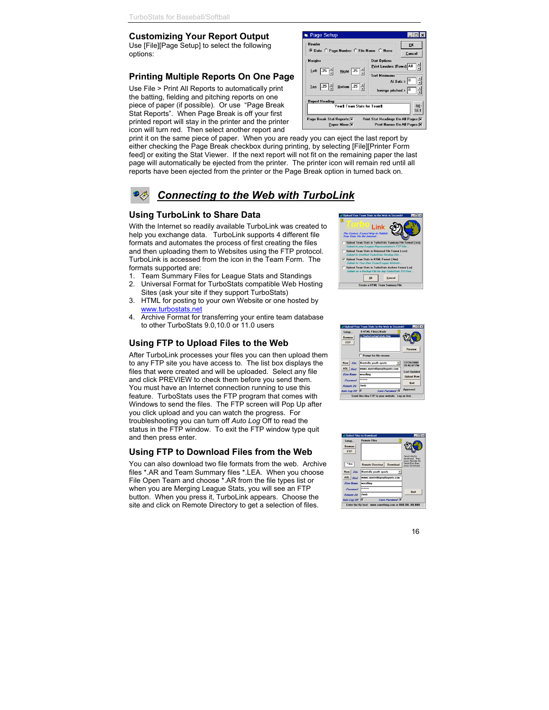## **Customizing Your Report Output**

Use [File][Page Setup] to select the following options:

# **Printing Multiple Reports On One Page**

Use File > Print All Reports to automatically print the batting, fielding and pitching reports on one piece of paper (if possible). Or use "Page Break Stat Reports". When Page Break is off your first printed report will stay in the printer and the printer icon will turn red. Then select another report and

print it on the same piece of paper. When you are ready you can eject the last report by either checking the Page Break checkbox during printing, by selecting [File][Printer Form feed] or exiting the Stat Viewer. If the next report will not fit on the remaining paper the last page will automatically be ejected from the printer. The printer icon will remain red until all reports have been ejected from the printer or the Page Break option in turned back on.

# *Connecting to the Web with TurboLink*

#### **Using TurboLink to Share Data**

With the Internet so readily available TurboLink was created to help you exchange data. TurboLink supports 4 different file formats and automates the process of first creating the files and then uploading them to Websites using the FTP protocol. TurboLink is accessed from the icon in the Team Form. The formats supported are:

- 1. Team Summary Files for League Stats and Standings
- 2. Universal Format for TurboStats compatible Web Hosting Sites (ask your site if they support TurboStats)
- 3. HTML for posting to your own Website or one hosted by www.turbostats.net
- 4. Archive Format for transferring your entire team database to other TurboStats 9.0,10.0 or 11.0 users

# **Using FTP to Upload Files to the Web**

After TurboLink processes your files you can then upload them to any FTP site you have access to. The list box displays the files that were created and will be uploaded. Select any file and click PREVIEW to check them before you send them. You must have an Internet connection running to use this feature. TurboStats uses the FTP program that comes with Windows to send the files. The FTP screen will Pop Up after you click upload and you can watch the progress. For troubleshooting you can turn off *Auto Log* Off to read the status in the FTP window. To exit the FTP window type quit and then press enter.

#### **Using FTP to Download Files from the Web**

You can also download two file formats from the web. Archive files \*.AR and Team Summary files \*.LEA. When you choose File Open Team and choose \*.AR from the file types list or when you are Merging League Stats, you will see an FTP button. When you press it, TurboLink appears. Choose the site and click on Remote Directory to get a selection of files.







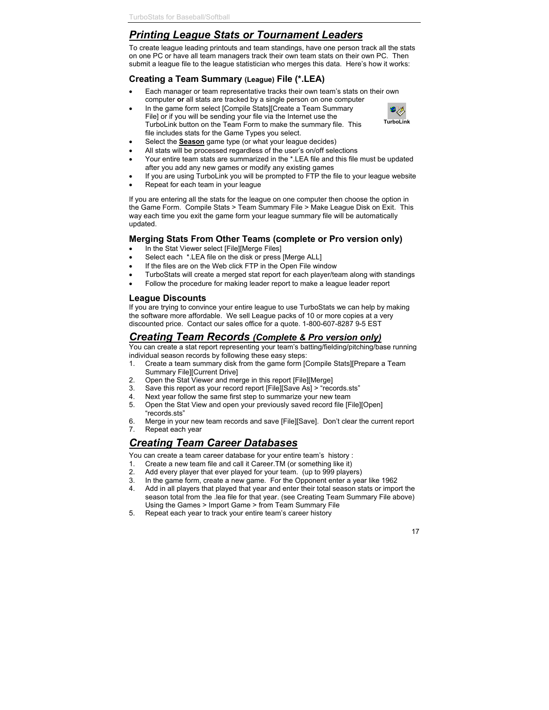# *Printing League Stats or Tournament Leaders*

To create league leading printouts and team standings, have one person track all the stats on one PC or have all team managers track their own team stats on their own PC. Then submit a league file to the league statistician who merges this data. Here's how it works:

# **Creating a Team Summary (League) File (\*.LEA)**

- Each manager or team representative tracks their own team's stats on their own computer **or** all stats are tracked by a single person on one computer
- In the game form select [Compile Stats][Create a Team Summary File] or if you will be sending your file via the Internet use the TurboLink button on the Team Form to make the summary file. This file includes stats for the Game Types you select.
- Select the **Season** game type (or what your league decides)
- All stats will be processed regardless of the user's on/off selections
- Your entire team stats are summarized in the \*.LEA file and this file must be updated after you add any new games or modify any existing games
- If you are using TurboLink you will be prompted to FTP the file to your league website
- Repeat for each team in your league

If you are entering all the stats for the league on one computer then choose the option in the Game Form. Compile Stats > Team Summary File > Make League Disk on Exit. This way each time you exit the game form your league summary file will be automatically updated.

# **Merging Stats From Other Teams (complete or Pro version only)**

- In the Stat Viewer select [File][Merge Files]
- Select each \*.LEA file on the disk or press [Merge ALL]
- If the files are on the Web click FTP in the Open File window
- TurboStats will create a merged stat report for each player/team along with standings
- Follow the procedure for making leader report to make a league leader report

# **League Discounts**

If you are trying to convince your entire league to use TurboStats we can help by making the software more affordable. We sell League packs of 10 or more copies at a very discounted price. Contact our sales office for a quote. 1-800-607-8287 9-5 EST

# *Creating Team Records (Complete & Pro version only)*

You can create a stat report representing your team's batting/fielding/pitching/base running individual season records by following these easy steps:

- 1. Create a team summary disk from the game form [Compile Stats][Prepare a Team Summary File][Current Drive]
- 2. Open the Stat Viewer and merge in this report [File][Merge]
- 3. Save this report as your record report [File][Save As] > "records.sts"
- 4. Next year follow the same first step to summarize your new team
- 5. Open the Stat View and open your previously saved record file [File][Open] "records.sts"
- 6. Merge in your new team records and save [File][Save]. Don't clear the current report
- 7. Repeat each year

# *Creating Team Career Databases*

You can create a team career database for your entire team's history :

- 1. Create a new team file and call it Career.TM (or something like it)
- 2. Add every player that ever played for your team. (up to 999 players)
- 3. In the game form, create a new game. For the Opponent enter a year like 1962
- 4. Add in all players that played that year and enter their total season stats or import the season total from the .lea file for that year. (see Creating Team Summary File above) Using the Games > Import Game > from Team Summary File
- 5. Repeat each year to track your entire team's career history

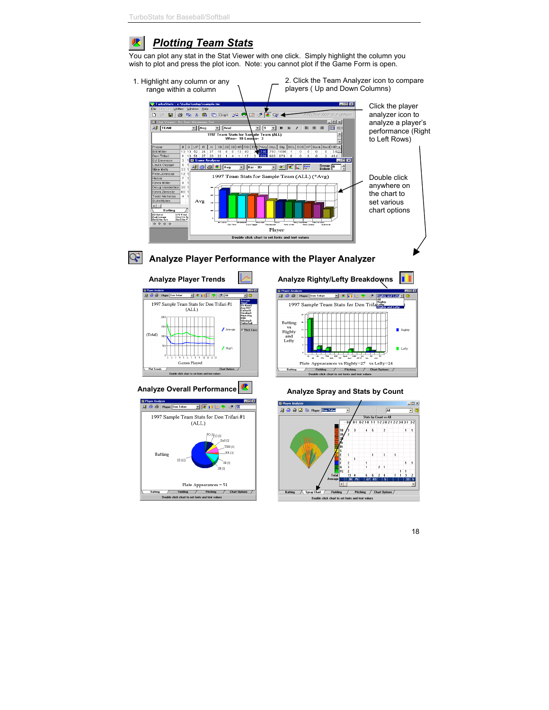#### *Plotting Team Stats* 呎

You can plot any stat in the Stat Viewer with one click. Simply highlight the column you wish to plot and press the plot icon. Note: you cannot plot if the Game Form is open.



# **Analyze Player Performance with the Player Analyzer**







# Analyze Overall Performance **<b>ALCO** Analyze Spray and Stats by Count

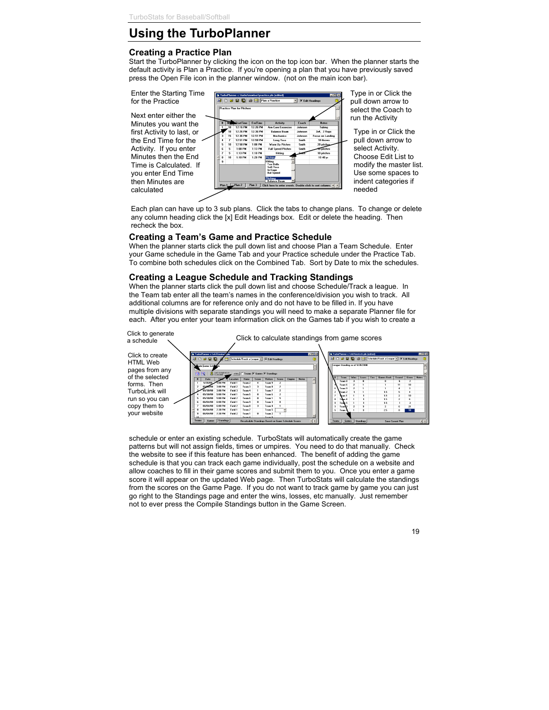# **Using the TurboPlanner**

## **Creating a Practice Plan**

Start the TurboPlanner by clicking the icon on the top icon bar. When the planner starts the default activity is Plan a Practice. If you're opening a plan that you have previously saved press the Open File icon in the planner window. (not on the main icon bar).



Minutes you want the first Activity to last, or the End Time for the Activity. If you enter Minutes then the End Time is Calculated. If you enter End Time then Minutes are calculated



Type in or Click the pull down arrow to select the Coach to run the Activity

Type in or Click the pull down arrow to select Activity. Choose Edit List to modify the master list. Use some spaces to indent categories if needed

Each plan can have up to 3 sub plans. Click the tabs to change plans. To change or delete any column heading click the [x] Edit Headings box. Edit or delete the heading. Then recheck the box.

## **Creating a Team's Game and Practice Schedule**

When the planner starts click the pull down list and choose Plan a Team Schedule. Enter your Game schedule in the Game Tab and your Practice schedule under the Practice Tab. To combine both schedules click on the Combined Tab. Sort by Date to mix the schedules.

# **Creating a League Schedule and Tracking Standings**

When the planner starts click the pull down list and choose Schedule/Track a league. In the Team tab enter all the team's names in the conference/division you wish to track. All additional columns are for reference only and do not have to be filled in. If you have multiple divisions with separate standings you will need to make a separate Planner file for each. After you enter your team information click on the Games tab if you wish to create a



schedule or enter an existing schedule. TurboStats will automatically create the game patterns but will not assign fields, times or umpires. You need to do that manually. Check the website to see if this feature has been enhanced. The benefit of adding the game schedule is that you can track each game individually, post the schedule on a website and allow coaches to fill in their game scores and submit them to you. Once you enter a game score it will appear on the updated Web page. Then TurboStats will calculate the standings from the scores on the Game Page. If you do not want to track game by game you can just go right to the Standings page and enter the wins, losses, etc manually. Just remember not to ever press the Compile Standings button in the Game Screen.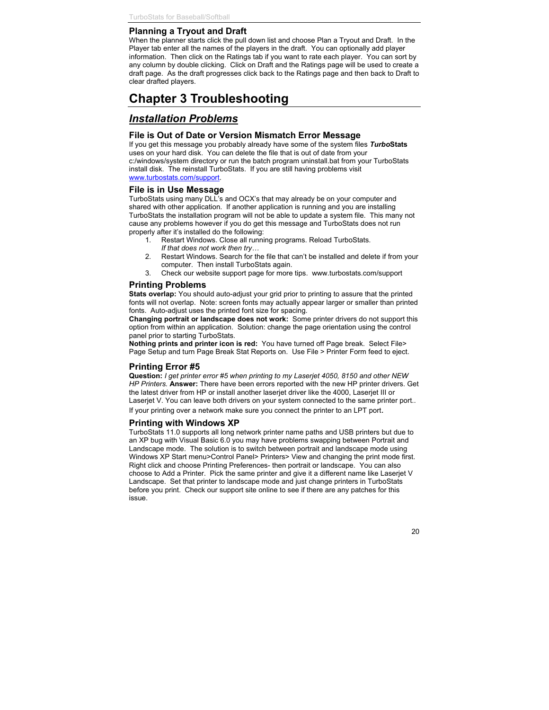## **Planning a Tryout and Draft**

When the planner starts click the pull down list and choose Plan a Tryout and Draft. In the Player tab enter all the names of the players in the draft. You can optionally add player information. Then click on the Ratings tab if you want to rate each player. You can sort by any column by double clicking. Click on Draft and the Ratings page will be used to create a draft page. As the draft progresses click back to the Ratings page and then back to Draft to clear drafted players.

# **Chapter 3 Troubleshooting**

# *Installation Problems*

#### **File is Out of Date or Version Mismatch Error Message**

If you get this message you probably already have some of the system files *Turbo***Stats** uses on your hard disk. You can delete the file that is out of date from your c:/windows/system directory or run the batch program uninstall.bat from your TurboStats install disk. The reinstall TurboStats. If you are still having problems visit www.turbostats.com/support.

#### **File is in Use Message**

TurboStats using many DLL's and OCX's that may already be on your computer and shared with other application. If another application is running and you are installing TurboStats the installation program will not be able to update a system file. This many not cause any problems however if you do get this message and TurboStats does not run properly after it's installed do the following:

- 1. Restart Windows. Close all running programs. Reload TurboStats. *If that does not work then try…*
- 2. Restart Windows. Search for the file that can't be installed and delete if from your computer. Then install TurboStats again.
- 3. Check our website support page for more tips. www.turbostats.com/support

#### **Printing Problems**

**Stats overlap:** You should auto-adjust your grid prior to printing to assure that the printed fonts will not overlap. Note: screen fonts may actually appear larger or smaller than printed fonts. Auto-adjust uses the printed font size for spacing.

**Changing portrait or landscape does not work:** Some printer drivers do not support this option from within an application. Solution: change the page orientation using the control panel prior to starting TurboStats.

**Nothing prints and printer icon is red:** You have turned off Page break. Select File> Page Setup and turn Page Break Stat Reports on. Use File > Printer Form feed to eject.

#### **Printing Error #5**

**Question:** *I get printer error #5 when printing to my Laserjet 4050, 8150 and other NEW HP Printers.* **Answer:** There have been errors reported with the new HP printer drivers. Get the latest driver from HP or install another laserjet driver like the 4000, Laserjet III or Laserjet V. You can leave both drivers on your system connected to the same printer port.. If your printing over a network make sure you connect the printer to an LPT port.

#### **Printing with Windows XP**

TurboStats 11.0 supports all long network printer name paths and USB printers but due to an XP bug with Visual Basic 6.0 you may have problems swapping between Portrait and Landscape mode. The solution is to switch between portrait and landscape mode using Windows XP Start menu>Control Panel> Printers> View and changing the print mode first. Right click and choose Printing Preferences- then portrait or landscape. You can also choose to Add a Printer. Pick the same printer and give it a different name like Laserjet V Landscape. Set that printer to landscape mode and just change printers in TurboStats before you print. Check our support site online to see if there are any patches for this issue.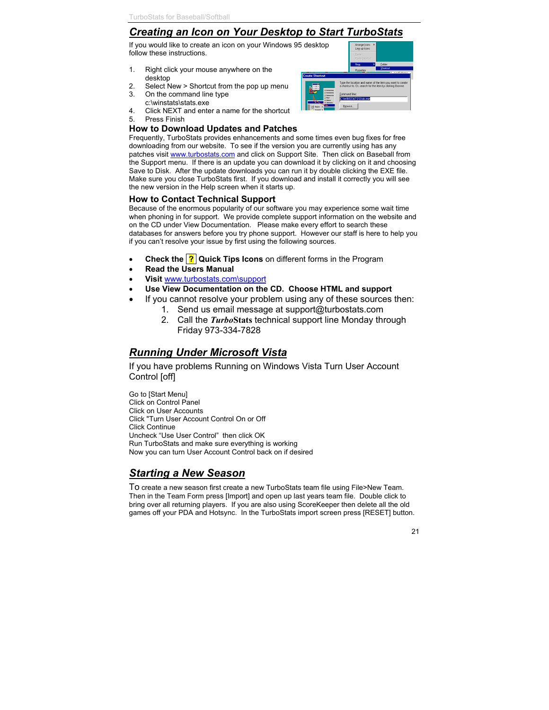# *Creating an Icon on Your Desktop to Start TurboStats*

If you would like to create an icon on your Windows 95 desktop follow these instructions.

- 1. Right click your mouse anywhere on the desktop
- 2. Select New > Shortcut from the pop up menu
- 3. On the command line type c:\winstats\stats.exe
- 4. Click NEXT and enter a name for the shortcut
- 5. Press Finish

## **How to Download Updates and Patches**

Frequently, TurboStats provides enhancements and some times even bug fixes for free downloading from our website. To see if the version you are currently using has any patches visit www.turbostats.com and click on Support Site. Then click on Baseball from the Support menu. If there is an update you can download it by clicking on it and choosing Save to Disk. After the update downloads you can run it by double clicking the EXE file. Make sure you close TurboStats first. If you download and install it correctly you will see the new version in the Help screen when it starts up.

## **How to Contact Technical Support**

Because of the enormous popularity of our software you may experience some wait time when phoning in for support. We provide complete support information on the website and on the CD under View Documentation. Please make every effort to search these databases for answers before you try phone support. However our staff is here to help you if you can't resolve your issue by first using the following sources.

- **Check the <sup>?</sup>** Quick Tips Icons on different forms in the Program
- **Read the Users Manual**
- **Visit** www.turbostats.com\support
- **Use View Documentation on the CD. Choose HTML and support**
- If you cannot resolve your problem using any of these sources then:
	- 1. Send us email message at support@turbostats.com
	- 2. Call the *Turbo***Stats** technical support line Monday through Friday 973-334-7828

# *Running Under Microsoft Vista*

If you have problems Running on Windows Vista Turn User Account Control [off]

Go to [Start Menu] Click on Control Panel Click on User Accounts Click "Turn User Account Control On or Off Click Continue Uncheck "Use User Control" then click OK Run TurboStats and make sure everything is working Now you can turn User Account Control back on if desired

# *Starting a New Season*

To create a new season first create a new TurboStats team file using File>New Team. Then in the Team Form press [Import] and open up last years team file. Double click to bring over all returning players. If you are also using ScoreKeeper then delete all the old games off your PDA and Hotsync. In the TurboStats import screen press [RESET] button.

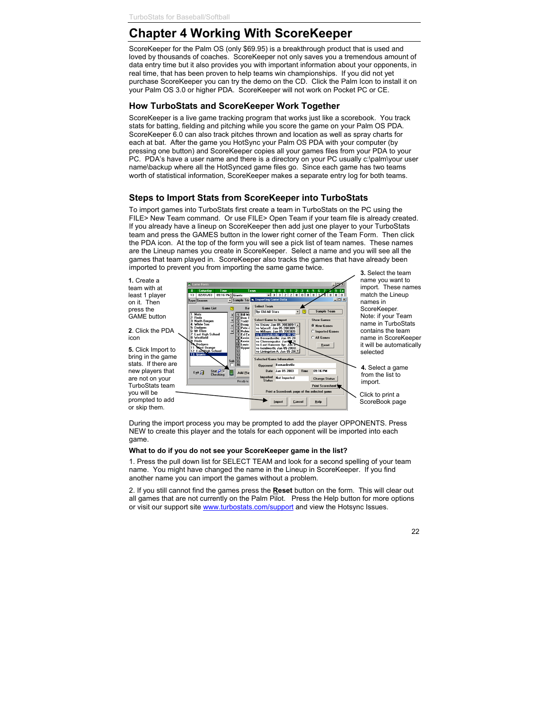# **Chapter 4 Working With ScoreKeeper**

ScoreKeeper for the Palm OS (only \$69.95) is a breakthrough product that is used and loved by thousands of coaches. ScoreKeeper not only saves you a tremendous amount of data entry time but it also provides you with important information about your opponents, in real time, that has been proven to help teams win championships. If you did not yet purchase ScoreKeeper you can try the demo on the CD. Click the Palm Icon to install it on your Palm OS 3.0 or higher PDA. ScoreKeeper will not work on Pocket PC or CE.

# **How TurboStats and ScoreKeeper Work Together**

ScoreKeeper is a live game tracking program that works just like a scorebook. You track stats for batting, fielding and pitching while you score the game on your Palm OS PDA. ScoreKeeper 6.0 can also track pitches thrown and location as well as spray charts for each at bat. After the game you HotSync your Palm OS PDA with your computer (by pressing one button) and ScoreKeeper copies all your games files from your PDA to your PC. PDA's have a user name and there is a directory on your PC usually c:\palm\your user name\backup where all the HotSynced game files go. Since each game has two teams worth of statistical information, ScoreKeeper makes a separate entry log for both teams.

# **Steps to Import Stats from ScoreKeeper into TurboStats**

To import games into TurboStats first create a team in TurboStats on the PC using the FILE> New Team command. Or use FILE> Open Team if your team file is already created. If you already have a lineup on ScoreKeeper then add just one player to your TurboStats team and press the GAMES button in the lower right corner of the Team Form. Then click the PDA icon. At the top of the form you will see a pick list of team names. These names are the Lineup names you create in ScoreKeeper. Select a name and you will see all the games that team played in. ScoreKeeper also tracks the games that have already been imported to prevent you from importing the same game twice.



**3.** Select the team name you want to import. These names match the Lineup names in ScoreKeeper. Note: if your Team name in TurboStats contains the team name in ScoreKeeper it will be automatically selected

**4.** Select a game from the list to import.

Click to print a ScoreBook page

During the import process you may be prompted to add the player OPPONENTS. Press NEW to create this player and the totals for each opponent will be imported into each game.

#### **What to do if you do not see your ScoreKeeper game in the list?**

1. Press the pull down list for SELECT TEAM and look for a second spelling of your team name. You might have changed the name in the Lineup in ScoreKeeper. If you find another name you can import the games without a problem.

2. If you still cannot find the games press the **Reset** button on the form. This will clear out all games that are not currently on the Palm Pilot. Press the Help button for more options or visit our support site www.turbostats.com/support and view the Hotsync Issues.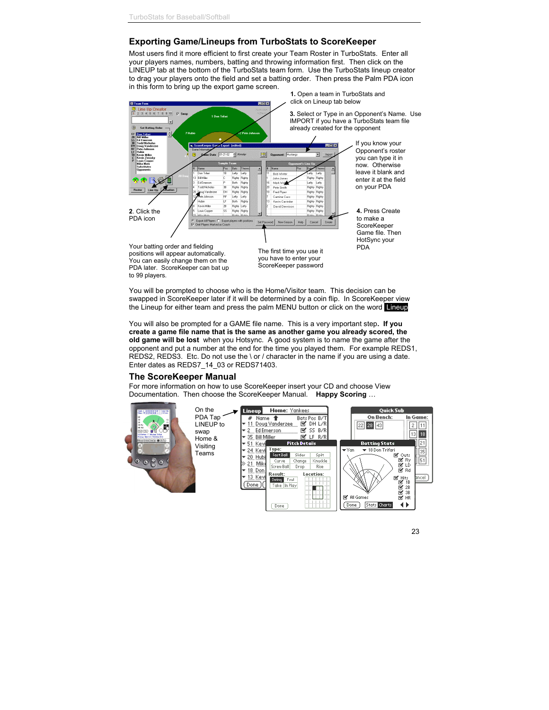# **Exporting Game/Lineups from TurboStats to ScoreKeeper**

Most users find it more efficient to first create your Team Roster in TurboStats. Enter all your players names, numbers, batting and throwing information first. Then click on the LINEUP tab at the bottom of the TurboStats team form. Use the TurboStats lineup creator to drag your players onto the field and set a batting order. Then press the Palm PDA icon in this form to bring up the export game screen.



You will be prompted to choose who is the Home/Visitor team. This decision can be swapped in ScoreKeeper later if it will be determined by a coin flip. In ScoreKeeper view the Lineup for either team and press the palm MENU button or click on the word Lineup

You will also be prompted for a GAME file name. This is a very important step**. If you create a game file name that is the same as another game you already scored, the old game will be lost** when you Hotsync. A good system is to name the game after the opponent and put a number at the end for the time you played them. For example REDS1, REDS2, REDS3. Etc. Do not use the \ or / character in the name if you are using a date. Enter dates as REDS7\_14\_03 or REDS71403.

#### **The ScoreKeeper Manual**

For more information on how to use ScoreKeeper insert your CD and choose View Documentation. Then choose the ScoreKeeper Manual. **Happy Scoring** …